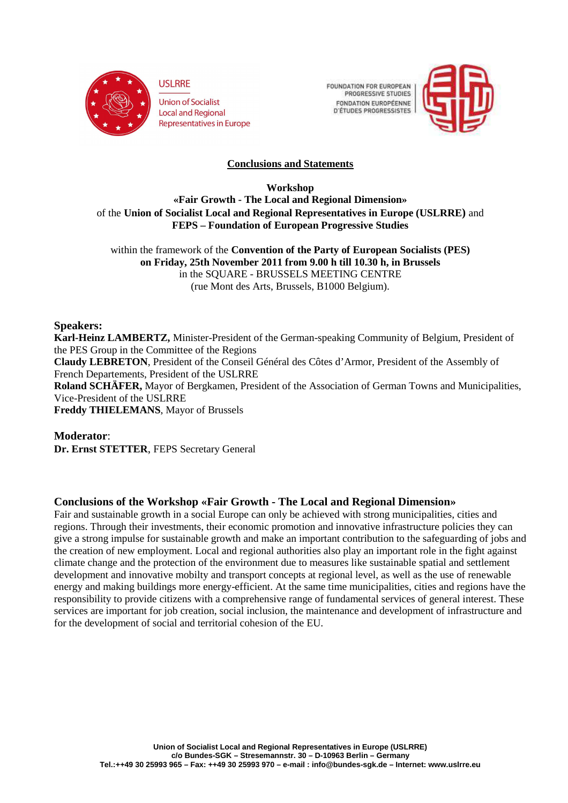

**Union of Socialist Local and Regional Representatives in Europe**  **FOUNDATION FOR EUROPEAN** PROGRESSIVE STUDIES FONDATION FUROPÉENNE **D'ÉTUDES PROGRESSISTES** 



# **Conclusions and Statements**

**Workshop «Fair Growth - The Local and Regional Dimension»**  of the **Union of Socialist Local and Regional Representatives in Europe (USLRRE)** and **FEPS – Foundation of European Progressive Studies**

within the framework of the **Convention of the Party of European Socialists (PES) on Friday, 25th November 2011 from 9.00 h till 10.30 h, in Brussels**  in the SQUARE - BRUSSELS MEETING CENTRE (rue Mont des Arts, Brussels, B1000 Belgium).

## **Speakers:**

**Karl-Heinz LAMBERTZ,** Minister-President of the German-speaking Community of Belgium, President of the PES Group in the Committee of the Regions **Claudy LEBRETON**, President of the Conseil Général des Côtes d'Armor, President of the Assembly of French Departements, President of the USLRRE **Roland SCHÄFER,** Mayor of Bergkamen, President of the Association of German Towns and Municipalities, Vice-President of the USLRRE **Freddy THIELEMANS**, Mayor of Brussels

**Moderator**: **Dr. Ernst STETTER**, FEPS Secretary General

## **Conclusions of the Workshop «Fair Growth - The Local and Regional Dimension»**

Fair and sustainable growth in a social Europe can only be achieved with strong municipalities, cities and regions. Through their investments, their economic promotion and innovative infrastructure policies they can give a strong impulse for sustainable growth and make an important contribution to the safeguarding of jobs and the creation of new employment. Local and regional authorities also play an important role in the fight against climate change and the protection of the environment due to measures like sustainable spatial and settlement development and innovative mobilty and transport concepts at regional level, as well as the use of renewable energy and making buildings more energy-efficient. At the same time municipalities, cities and regions have the responsibility to provide citizens with a comprehensive range of fundamental services of general interest. These services are important for job creation, social inclusion, the maintenance and development of infrastructure and for the development of social and territorial cohesion of the EU.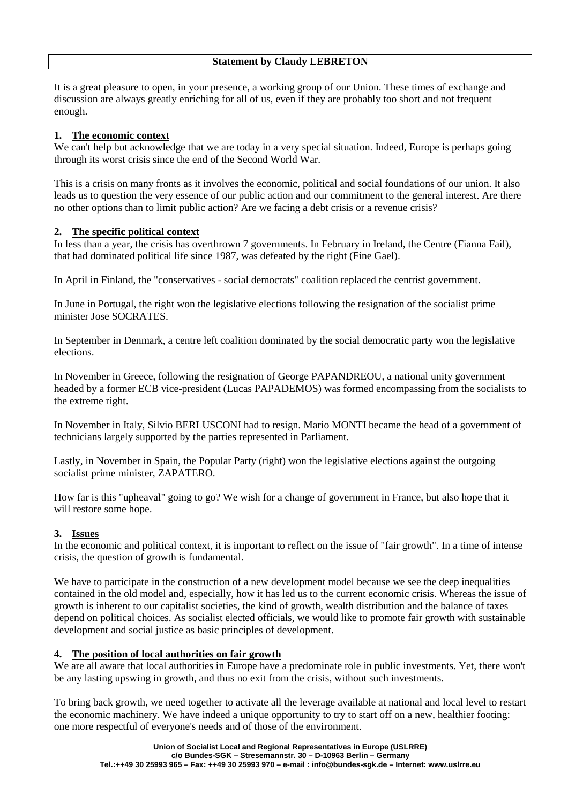#### **Statement by Claudy LEBRETON**

It is a great pleasure to open, in your presence, a working group of our Union. These times of exchange and discussion are always greatly enriching for all of us, even if they are probably too short and not frequent enough.

## **1. The economic context**

We can't help but acknowledge that we are today in a very special situation. Indeed, Europe is perhaps going through its worst crisis since the end of the Second World War.

This is a crisis on many fronts as it involves the economic, political and social foundations of our union. It also leads us to question the very essence of our public action and our commitment to the general interest. Are there no other options than to limit public action? Are we facing a debt crisis or a revenue crisis?

## **2. The specific political context**

In less than a year, the crisis has overthrown 7 governments. In February in Ireland, the Centre (Fianna Fail), that had dominated political life since 1987, was defeated by the right (Fine Gael).

In April in Finland, the "conservatives - social democrats" coalition replaced the centrist government.

In June in Portugal, the right won the legislative elections following the resignation of the socialist prime minister Jose SOCRATES.

In September in Denmark, a centre left coalition dominated by the social democratic party won the legislative elections.

In November in Greece, following the resignation of George PAPANDREOU, a national unity government headed by a former ECB vice-president (Lucas PAPADEMOS) was formed encompassing from the socialists to the extreme right.

In November in Italy, Silvio BERLUSCONI had to resign. Mario MONTI became the head of a government of technicians largely supported by the parties represented in Parliament.

Lastly, in November in Spain, the Popular Party (right) won the legislative elections against the outgoing socialist prime minister, ZAPATERO.

How far is this "upheaval" going to go? We wish for a change of government in France, but also hope that it will restore some hope.

## **3. Issues**

In the economic and political context, it is important to reflect on the issue of "fair growth". In a time of intense crisis, the question of growth is fundamental.

We have to participate in the construction of a new development model because we see the deep inequalities contained in the old model and, especially, how it has led us to the current economic crisis. Whereas the issue of growth is inherent to our capitalist societies, the kind of growth, wealth distribution and the balance of taxes depend on political choices. As socialist elected officials, we would like to promote fair growth with sustainable development and social justice as basic principles of development.

## **4. The position of local authorities on fair growth**

We are all aware that local authorities in Europe have a predominate role in public investments. Yet, there won't be any lasting upswing in growth, and thus no exit from the crisis, without such investments.

To bring back growth, we need together to activate all the leverage available at national and local level to restart the economic machinery. We have indeed a unique opportunity to try to start off on a new, healthier footing: one more respectful of everyone's needs and of those of the environment.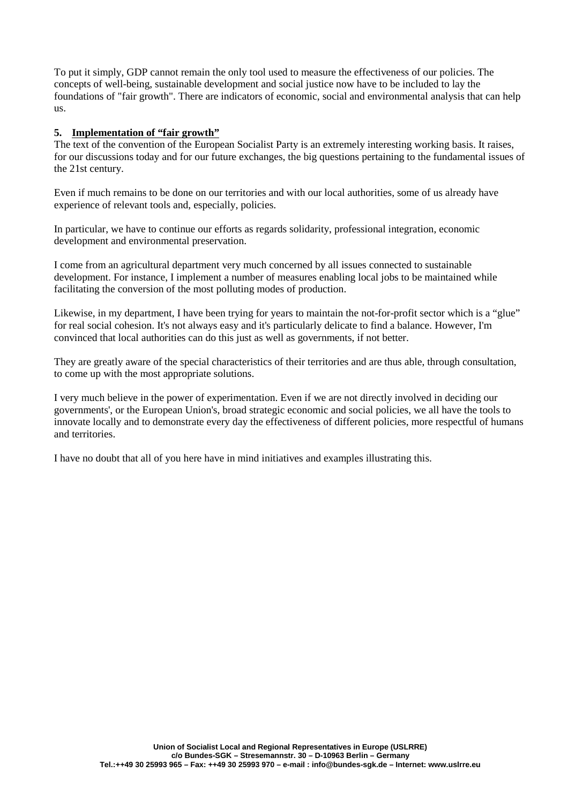To put it simply, GDP cannot remain the only tool used to measure the effectiveness of our policies. The concepts of well-being, sustainable development and social justice now have to be included to lay the foundations of "fair growth". There are indicators of economic, social and environmental analysis that can help us.

### **5. Implementation of "fair growth"**

The text of the convention of the European Socialist Party is an extremely interesting working basis. It raises, for our discussions today and for our future exchanges, the big questions pertaining to the fundamental issues of the 21st century.

Even if much remains to be done on our territories and with our local authorities, some of us already have experience of relevant tools and, especially, policies.

In particular, we have to continue our efforts as regards solidarity, professional integration, economic development and environmental preservation.

I come from an agricultural department very much concerned by all issues connected to sustainable development. For instance, I implement a number of measures enabling local jobs to be maintained while facilitating the conversion of the most polluting modes of production.

Likewise, in my department, I have been trying for years to maintain the not-for-profit sector which is a "glue" for real social cohesion. It's not always easy and it's particularly delicate to find a balance. However, I'm convinced that local authorities can do this just as well as governments, if not better.

They are greatly aware of the special characteristics of their territories and are thus able, through consultation, to come up with the most appropriate solutions.

I very much believe in the power of experimentation. Even if we are not directly involved in deciding our governments', or the European Union's, broad strategic economic and social policies, we all have the tools to innovate locally and to demonstrate every day the effectiveness of different policies, more respectful of humans and territories.

I have no doubt that all of you here have in mind initiatives and examples illustrating this.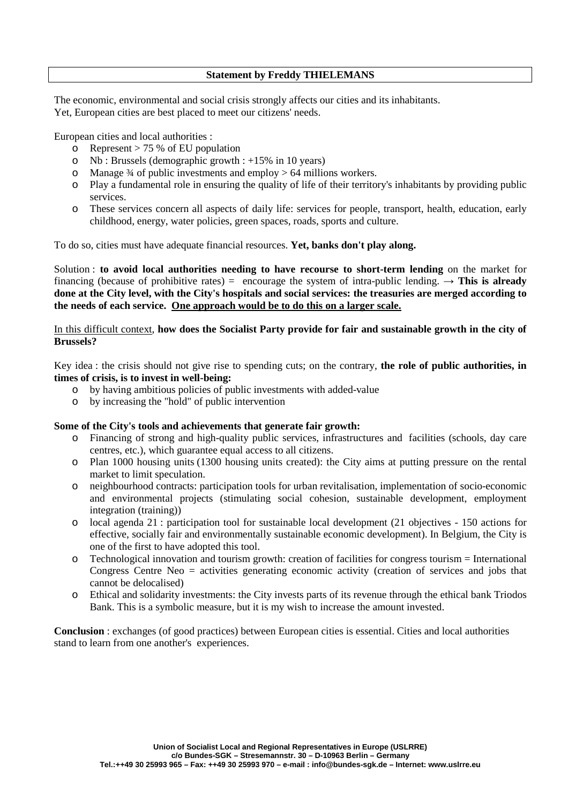### **Statement by Freddy THIELEMANS**

The economic, environmental and social crisis strongly affects our cities and its inhabitants. Yet, European cities are best placed to meet our citizens' needs.

European cities and local authorities :

- $\circ$  Represent > 75 % of EU population
- o Nb : Brussels (demographic growth : +15% in 10 years)
- $\circ$  Manage  $\frac{3}{4}$  of public investments and employ  $> 64$  millions workers.
- o Play a fundamental role in ensuring the quality of life of their territory's inhabitants by providing public services.
- o These services concern all aspects of daily life: services for people, transport, health, education, early childhood, energy, water policies, green spaces, roads, sports and culture.

To do so, cities must have adequate financial resources. **Yet, banks don't play along.** 

Solution : **to avoid local authorities needing to have recourse to short-term lending** on the market for financing (because of prohibitive rates) = encourage the system of intra-public lending.  $\rightarrow$  This is already **done at the City level, with the City's hospitals and social services: the treasuries are merged according to the needs of each service. One approach would be to do this on a larger scale.**

### In this difficult context, **how does the Socialist Party provide for fair and sustainable growth in the city of Brussels?**

Key idea : the crisis should not give rise to spending cuts; on the contrary, **the role of public authorities, in times of crisis, is to invest in well-being:** 

- o by having ambitious policies of public investments with added-value
- o by increasing the "hold" of public intervention

#### **Some of the City's tools and achievements that generate fair growth:**

- o Financing of strong and high-quality public services, infrastructures and facilities (schools, day care centres, etc.), which guarantee equal access to all citizens.
- o Plan 1000 housing units (1300 housing units created): the City aims at putting pressure on the rental market to limit speculation.
- o neighbourhood contracts: participation tools for urban revitalisation, implementation of socio-economic and environmental projects (stimulating social cohesion, sustainable development, employment integration (training))
- o local agenda 21 : participation tool for sustainable local development (21 objectives 150 actions for effective, socially fair and environmentally sustainable economic development). In Belgium, the City is one of the first to have adopted this tool.
- o Technological innovation and tourism growth: creation of facilities for congress tourism = International Congress Centre Neo = activities generating economic activity (creation of services and jobs that cannot be delocalised)
- o Ethical and solidarity investments: the City invests parts of its revenue through the ethical bank Triodos Bank. This is a symbolic measure, but it is my wish to increase the amount invested.

**Conclusion** : exchanges (of good practices) between European cities is essential. Cities and local authorities stand to learn from one another's experiences.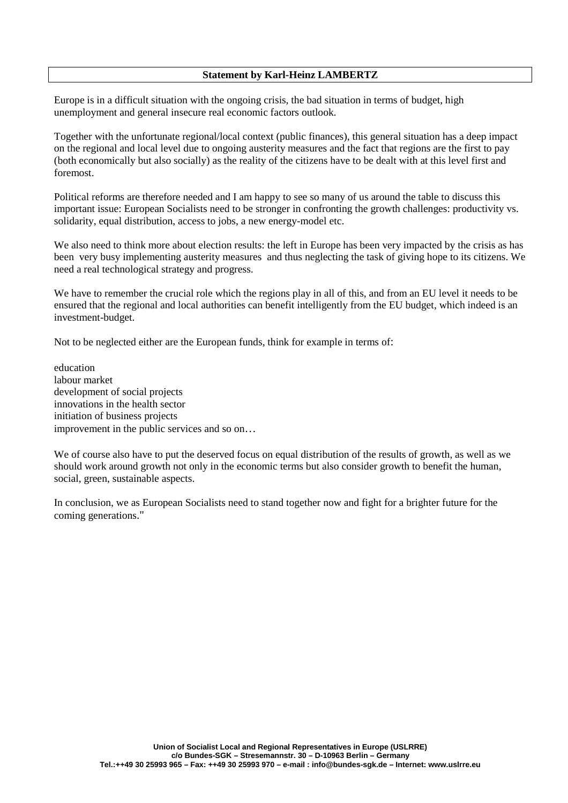### **Statement by Karl-Heinz LAMBERTZ**

Europe is in a difficult situation with the ongoing crisis, the bad situation in terms of budget, high unemployment and general insecure real economic factors outlook.

Together with the unfortunate regional/local context (public finances), this general situation has a deep impact on the regional and local level due to ongoing austerity measures and the fact that regions are the first to pay (both economically but also socially) as the reality of the citizens have to be dealt with at this level first and foremost.

Political reforms are therefore needed and I am happy to see so many of us around the table to discuss this important issue: European Socialists need to be stronger in confronting the growth challenges: productivity vs. solidarity, equal distribution, access to jobs, a new energy-model etc.

We also need to think more about election results: the left in Europe has been very impacted by the crisis as has been very busy implementing austerity measures and thus neglecting the task of giving hope to its citizens. We need a real technological strategy and progress.

We have to remember the crucial role which the regions play in all of this, and from an EU level it needs to be ensured that the regional and local authorities can benefit intelligently from the EU budget, which indeed is an investment-budget.

Not to be neglected either are the European funds, think for example in terms of:

education labour market development of social projects innovations in the health sector initiation of business projects improvement in the public services and so on…

We of course also have to put the deserved focus on equal distribution of the results of growth, as well as we should work around growth not only in the economic terms but also consider growth to benefit the human, social, green, sustainable aspects.

In conclusion, we as European Socialists need to stand together now and fight for a brighter future for the coming generations."